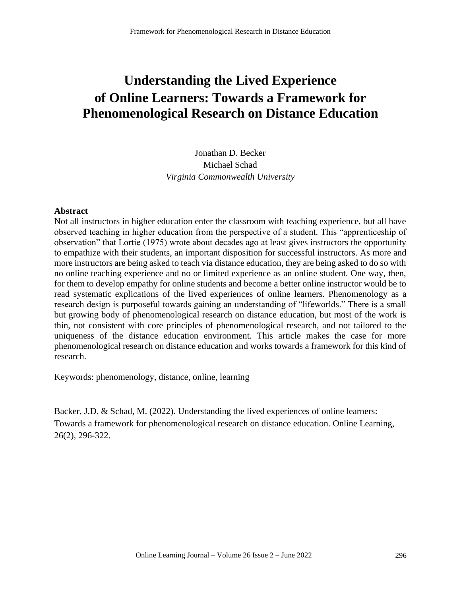# **Understanding the Lived Experience of Online Learners: Towards a Framework for Phenomenological Research on Distance Education**

Jonathan D. Becker Michael Schad *Virginia Commonwealth University*

### **Abstract**

Not all instructors in higher education enter the classroom with teaching experience, but all have observed teaching in higher education from the perspective of a student. This "apprenticeship of observation" that Lortie (1975) wrote about decades ago at least gives instructors the opportunity to empathize with their students, an important disposition for successful instructors. As more and more instructors are being asked to teach via distance education, they are being asked to do so with no online teaching experience and no or limited experience as an online student. One way, then, for them to develop empathy for online students and become a better online instructor would be to read systematic explications of the lived experiences of online learners. Phenomenology as a research design is purposeful towards gaining an understanding of "lifeworlds." There is a small but growing body of phenomenological research on distance education, but most of the work is thin, not consistent with core principles of phenomenological research, and not tailored to the uniqueness of the distance education environment. This article makes the case for more phenomenological research on distance education and works towards a framework for this kind of research.

Keywords: phenomenology, distance, online, learning

Backer, J.D. & Schad, M. (2022). Understanding the lived experiences of online learners: Towards a framework for phenomenological research on distance education. Online Learning, 26(2), 296-322.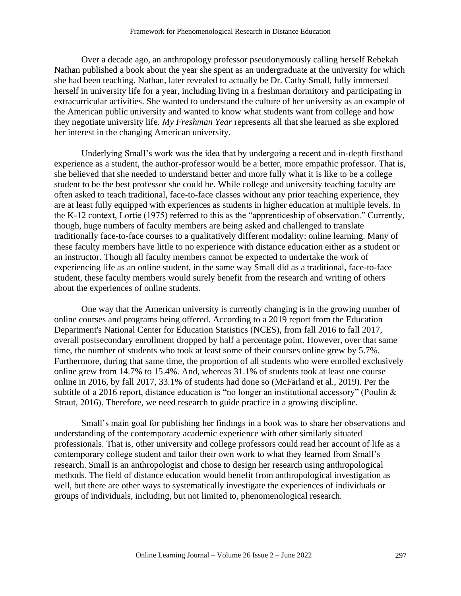Over a decade ago, an anthropology professor pseudonymously calling herself Rebekah Nathan published a book about the year she spent as an undergraduate at the university for which she had been teaching. Nathan, later revealed to actually be Dr. Cathy Small, fully immersed herself in university life for a year, including living in a freshman dormitory and participating in extracurricular activities. She wanted to understand the culture of her university as an example of the American public university and wanted to know what students want from college and how they negotiate university life. *My Freshman Year* represents all that she learned as she explored her interest in the changing American university.

Underlying Small's work was the idea that by undergoing a recent and in-depth firsthand experience as a student, the author-professor would be a better, more empathic professor. That is, she believed that she needed to understand better and more fully what it is like to be a college student to be the best professor she could be. While college and university teaching faculty are often asked to teach traditional, face-to-face classes without any prior teaching experience, they are at least fully equipped with experiences as students in higher education at multiple levels. In the K-12 context, Lortie (1975) referred to this as the "apprenticeship of observation." Currently, though, huge numbers of faculty members are being asked and challenged to translate traditionally face-to-face courses to a qualitatively different modality: online learning. Many of these faculty members have little to no experience with distance education either as a student or an instructor. Though all faculty members cannot be expected to undertake the work of experiencing life as an online student, in the same way Small did as a traditional, face-to-face student, these faculty members would surely benefit from the research and writing of others about the experiences of online students.

One way that the American university is currently changing is in the growing number of online courses and programs being offered. According to a 2019 report from the Education Department's National Center for Education Statistics (NCES), from fall 2016 to fall 2017, overall postsecondary enrollment dropped by half a percentage point. However, over that same time, the number of students who took at least some of their courses online grew by 5.7%. Furthermore, during that same time, the proportion of all students who were enrolled exclusively online grew from 14.7% to 15.4%. And, whereas 31.1% of students took at least one course online in 2016, by fall 2017, 33.1% of students had done so (McFarland et al., 2019). Per the subtitle of a 2016 report, distance education is "no longer an institutional accessory" (Poulin & Straut, 2016). Therefore, we need research to guide practice in a growing discipline.

Small's main goal for publishing her findings in a book was to share her observations and understanding of the contemporary academic experience with other similarly situated professionals. That is, other university and college professors could read her account of life as a contemporary college student and tailor their own work to what they learned from Small's research. Small is an anthropologist and chose to design her research using anthropological methods. The field of distance education would benefit from anthropological investigation as well, but there are other ways to systematically investigate the experiences of individuals or groups of individuals, including, but not limited to, phenomenological research.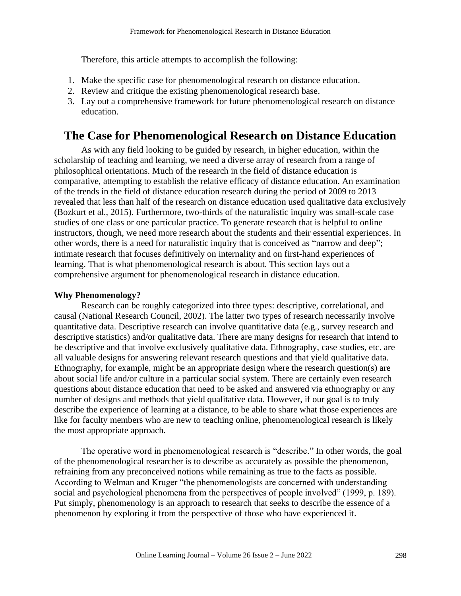Therefore, this article attempts to accomplish the following:

- 1. Make the specific case for phenomenological research on distance education.
- 2. Review and critique the existing phenomenological research base.
- 3. Lay out a comprehensive framework for future phenomenological research on distance education.

# **The Case for Phenomenological Research on Distance Education**

As with any field looking to be guided by research, in higher education, within the scholarship of teaching and learning, we need a diverse array of research from a range of philosophical orientations. Much of the research in the field of distance education is comparative, attempting to establish the relative efficacy of distance education. An examination of the trends in the field of distance education research during the period of 2009 to 2013 revealed that less than half of the research on distance education used qualitative data exclusively (Bozkurt et al., 2015). Furthermore, two-thirds of the naturalistic inquiry was small-scale case studies of one class or one particular practice. To generate research that is helpful to online instructors, though, we need more research about the students and their essential experiences. In other words, there is a need for naturalistic inquiry that is conceived as "narrow and deep"; intimate research that focuses definitively on internality and on first-hand experiences of learning. That is what phenomenological research is about. This section lays out a comprehensive argument for phenomenological research in distance education.

### **Why Phenomenology?**

Research can be roughly categorized into three types: descriptive, correlational, and causal (National Research Council, 2002). The latter two types of research necessarily involve quantitative data. Descriptive research can involve quantitative data (e.g., survey research and descriptive statistics) and/or qualitative data. There are many designs for research that intend to be descriptive and that involve exclusively qualitative data. Ethnography, case studies, etc. are all valuable designs for answering relevant research questions and that yield qualitative data. Ethnography, for example, might be an appropriate design where the research question(s) are about social life and/or culture in a particular social system. There are certainly even research questions about distance education that need to be asked and answered via ethnography or any number of designs and methods that yield qualitative data. However, if our goal is to truly describe the experience of learning at a distance, to be able to share what those experiences are like for faculty members who are new to teaching online, phenomenological research is likely the most appropriate approach.

The operative word in phenomenological research is "describe." In other words, the goal of the phenomenological researcher is to describe as accurately as possible the phenomenon, refraining from any preconceived notions while remaining as true to the facts as possible. According to Welman and Kruger "the phenomenologists are concerned with understanding social and psychological phenomena from the perspectives of people involved" (1999, p. 189). Put simply, phenomenology is an approach to research that seeks to describe the essence of a phenomenon by exploring it from the perspective of those who have experienced it.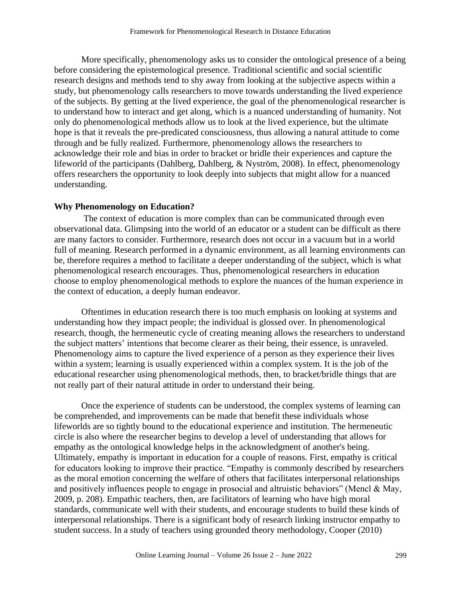More specifically, phenomenology asks us to consider the ontological presence of a being before considering the epistemological presence. Traditional scientific and social scientific research designs and methods tend to shy away from looking at the subjective aspects within a study, but phenomenology calls researchers to move towards understanding the lived experience of the subjects. By getting at the lived experience, the goal of the phenomenological researcher is to understand how to interact and get along, which is a nuanced understanding of humanity. Not only do phenomenological methods allow us to look at the lived experience, but the ultimate hope is that it reveals the pre-predicated consciousness, thus allowing a natural attitude to come through and be fully realized. Furthermore, phenomenology allows the researchers to acknowledge their role and bias in order to bracket or bridle their experiences and capture the lifeworld of the participants (Dahlberg, Dahlberg, & Nyström, 2008). In effect, phenomenology offers researchers the opportunity to look deeply into subjects that might allow for a nuanced understanding.

#### **Why Phenomenology on Education?**

The context of education is more complex than can be communicated through even observational data. Glimpsing into the world of an educator or a student can be difficult as there are many factors to consider. Furthermore, research does not occur in a vacuum but in a world full of meaning. Research performed in a dynamic environment, as all learning environments can be, therefore requires a method to facilitate a deeper understanding of the subject, which is what phenomenological research encourages. Thus, phenomenological researchers in education choose to employ phenomenological methods to explore the nuances of the human experience in the context of education, a deeply human endeavor.

Oftentimes in education research there is too much emphasis on looking at systems and understanding how they impact people; the individual is glossed over. In phenomenological research, though, the hermeneutic cycle of creating meaning allows the researchers to understand the subject matters' intentions that become clearer as their being, their essence, is unraveled. Phenomenology aims to capture the lived experience of a person as they experience their lives within a system; learning is usually experienced within a complex system. It is the job of the educational researcher using phenomenological methods, then, to bracket/bridle things that are not really part of their natural attitude in order to understand their being.

Once the experience of students can be understood, the complex systems of learning can be comprehended, and improvements can be made that benefit these individuals whose lifeworlds are so tightly bound to the educational experience and institution. The hermeneutic circle is also where the researcher begins to develop a level of understanding that allows for empathy as the ontological knowledge helps in the acknowledgment of another's being. Ultimately, empathy is important in education for a couple of reasons. First, empathy is critical for educators looking to improve their practice. "Empathy is commonly described by researchers as the moral emotion concerning the welfare of others that facilitates interpersonal relationships and positively influences people to engage in prosocial and altruistic behaviors" (Mencl & May, 2009, p. 208). Empathic teachers, then, are facilitators of learning who have high moral standards, communicate well with their students, and encourage students to build these kinds of interpersonal relationships. There is a significant body of research linking instructor empathy to student success. In a study of teachers using grounded theory methodology, Cooper (2010)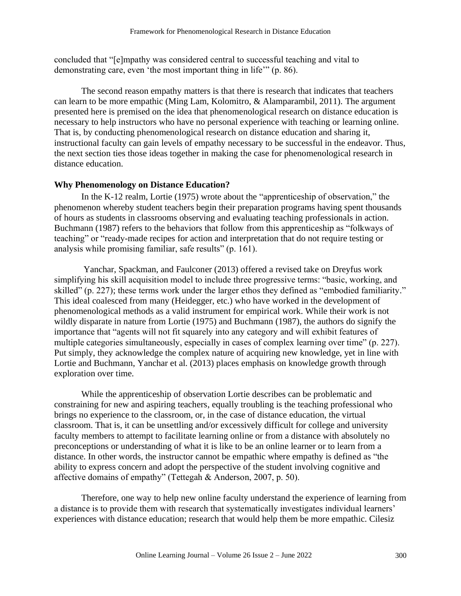concluded that "[e]mpathy was considered central to successful teaching and vital to demonstrating care, even 'the most important thing in life'" (p. 86).

The second reason empathy matters is that there is research that indicates that teachers can learn to be more empathic (Ming Lam, Kolomitro, & Alamparambil, 2011). The argument presented here is premised on the idea that phenomenological research on distance education is necessary to help instructors who have no personal experience with teaching or learning online. That is, by conducting phenomenological research on distance education and sharing it, instructional faculty can gain levels of empathy necessary to be successful in the endeavor. Thus, the next section ties those ideas together in making the case for phenomenological research in distance education.

#### **Why Phenomenology on Distance Education?**

In the K-12 realm, Lortie (1975) wrote about the "apprenticeship of observation," the phenomenon whereby student teachers begin their preparation programs having spent thousands of hours as students in classrooms observing and evaluating teaching professionals in action. Buchmann (1987) refers to the behaviors that follow from this apprenticeship as "folkways of teaching" or "ready-made recipes for action and interpretation that do not require testing or analysis while promising familiar, safe results" (p. 161).

Yanchar, Spackman, and Faulconer (2013) offered a revised take on Dreyfus work simplifying his skill acquisition model to include three progressive terms: "basic, working, and skilled" (p. 227); these terms work under the larger ethos they defined as "embodied familiarity." This ideal coalesced from many (Heidegger, etc.) who have worked in the development of phenomenological methods as a valid instrument for empirical work. While their work is not wildly disparate in nature from Lortie (1975) and Buchmann (1987), the authors do signify the importance that "agents will not fit squarely into any category and will exhibit features of multiple categories simultaneously, especially in cases of complex learning over time" (p. 227). Put simply, they acknowledge the complex nature of acquiring new knowledge, yet in line with Lortie and Buchmann, Yanchar et al. (2013) places emphasis on knowledge growth through exploration over time.

While the apprenticeship of observation Lortie describes can be problematic and constraining for new and aspiring teachers, equally troubling is the teaching professional who brings no experience to the classroom, or, in the case of distance education, the virtual classroom. That is, it can be unsettling and/or excessively difficult for college and university faculty members to attempt to facilitate learning online or from a distance with absolutely no preconceptions or understanding of what it is like to be an online learner or to learn from a distance. In other words, the instructor cannot be empathic where empathy is defined as "the ability to express concern and adopt the perspective of the student involving cognitive and affective domains of empathy" (Tettegah & Anderson, 2007, p. 50).

Therefore, one way to help new online faculty understand the experience of learning from a distance is to provide them with research that systematically investigates individual learners' experiences with distance education; research that would help them be more empathic. Cilesiz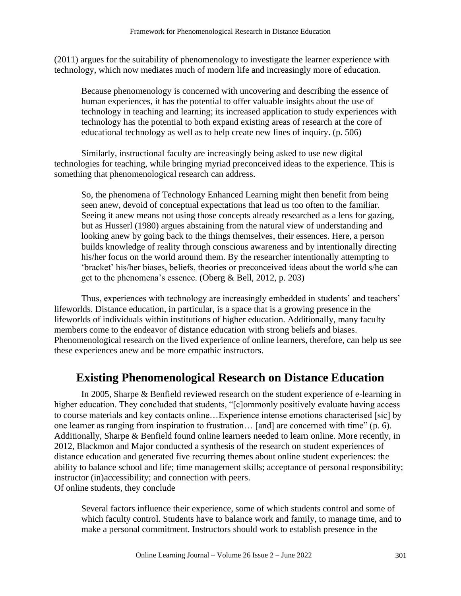(2011) argues for the suitability of phenomenology to investigate the learner experience with technology, which now mediates much of modern life and increasingly more of education.

Because phenomenology is concerned with uncovering and describing the essence of human experiences, it has the potential to offer valuable insights about the use of technology in teaching and learning; its increased application to study experiences with technology has the potential to both expand existing areas of research at the core of educational technology as well as to help create new lines of inquiry. (p. 506)

Similarly, instructional faculty are increasingly being asked to use new digital technologies for teaching, while bringing myriad preconceived ideas to the experience. This is something that phenomenological research can address.

So, the phenomena of Technology Enhanced Learning might then benefit from being seen anew, devoid of conceptual expectations that lead us too often to the familiar. Seeing it anew means not using those concepts already researched as a lens for gazing, but as Husserl (1980) argues abstaining from the natural view of understanding and looking anew by going back to the things themselves, their essences. Here, a person builds knowledge of reality through conscious awareness and by intentionally directing his/her focus on the world around them. By the researcher intentionally attempting to 'bracket' his/her biases, beliefs, theories or preconceived ideas about the world s/he can get to the phenomena's essence. (Oberg & Bell, 2012, p. 203)

Thus, experiences with technology are increasingly embedded in students' and teachers' lifeworlds. Distance education, in particular, is a space that is a growing presence in the lifeworlds of individuals within institutions of higher education. Additionally, many faculty members come to the endeavor of distance education with strong beliefs and biases. Phenomenological research on the lived experience of online learners, therefore, can help us see these experiences anew and be more empathic instructors.

# **Existing Phenomenological Research on Distance Education**

In 2005, Sharpe & Benfield reviewed research on the student experience of e-learning in higher education. They concluded that students, "[c]ommonly positively evaluate having access to course materials and key contacts online…Experience intense emotions characterised [sic] by one learner as ranging from inspiration to frustration… [and] are concerned with time" (p. 6). Additionally, Sharpe & Benfield found online learners needed to learn online. More recently, in 2012, Blackmon and Major conducted a synthesis of the research on student experiences of distance education and generated five recurring themes about online student experiences: the ability to balance school and life; time management skills; acceptance of personal responsibility; instructor (in)accessibility; and connection with peers. Of online students, they conclude

Several factors influence their experience, some of which students control and some of which faculty control. Students have to balance work and family, to manage time, and to make a personal commitment. Instructors should work to establish presence in the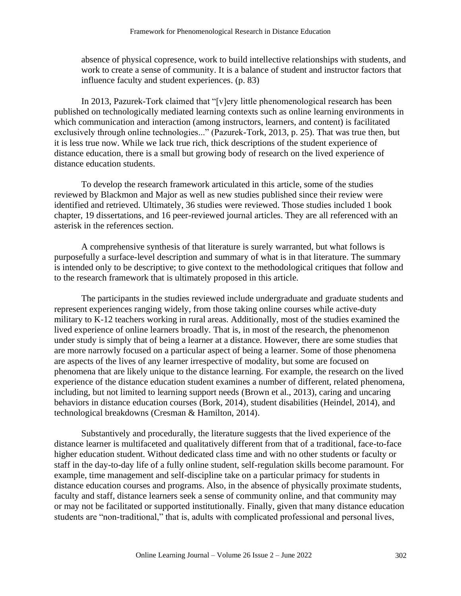absence of physical copresence, work to build intellective relationships with students, and work to create a sense of community. It is a balance of student and instructor factors that influence faculty and student experiences. (p. 83)

In 2013, Pazurek-Tork claimed that "[v]ery little phenomenological research has been published on technologically mediated learning contexts such as online learning environments in which communication and interaction (among instructors, learners, and content) is facilitated exclusively through online technologies..." (Pazurek-Tork, 2013, p. 25). That was true then, but it is less true now. While we lack true rich, thick descriptions of the student experience of distance education, there is a small but growing body of research on the lived experience of distance education students.

To develop the research framework articulated in this article, some of the studies reviewed by Blackmon and Major as well as new studies published since their review were identified and retrieved. Ultimately, 36 studies were reviewed. Those studies included 1 book chapter, 19 dissertations, and 16 peer-reviewed journal articles. They are all referenced with an asterisk in the references section.

A comprehensive synthesis of that literature is surely warranted, but what follows is purposefully a surface-level description and summary of what is in that literature. The summary is intended only to be descriptive; to give context to the methodological critiques that follow and to the research framework that is ultimately proposed in this article.

The participants in the studies reviewed include undergraduate and graduate students and represent experiences ranging widely, from those taking online courses while active-duty military to K-12 teachers working in rural areas. Additionally, most of the studies examined the lived experience of online learners broadly. That is, in most of the research, the phenomenon under study is simply that of being a learner at a distance. However, there are some studies that are more narrowly focused on a particular aspect of being a learner. Some of those phenomena are aspects of the lives of any learner irrespective of modality, but some are focused on phenomena that are likely unique to the distance learning. For example, the research on the lived experience of the distance education student examines a number of different, related phenomena, including, but not limited to learning support needs (Brown et al., 2013), caring and uncaring behaviors in distance education courses (Bork, 2014), student disabilities (Heindel, 2014), and technological breakdowns (Cresman & Hamilton, 2014).

Substantively and procedurally, the literature suggests that the lived experience of the distance learner is multifaceted and qualitatively different from that of a traditional, face-to-face higher education student. Without dedicated class time and with no other students or faculty or staff in the day-to-day life of a fully online student, self-regulation skills become paramount. For example, time management and self-discipline take on a particular primacy for students in distance education courses and programs. Also, in the absence of physically proximate students, faculty and staff, distance learners seek a sense of community online, and that community may or may not be facilitated or supported institutionally. Finally, given that many distance education students are "non-traditional," that is, adults with complicated professional and personal lives,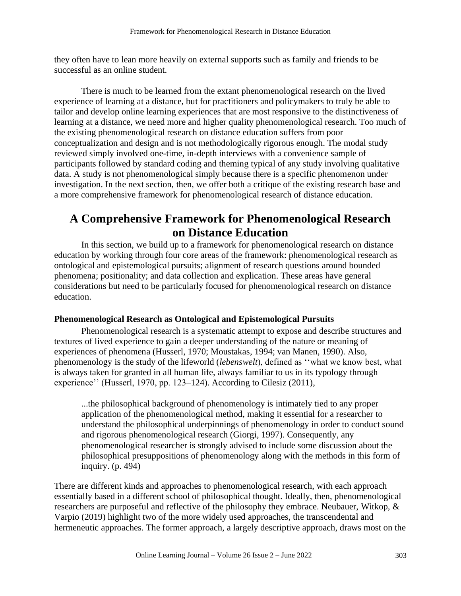they often have to lean more heavily on external supports such as family and friends to be successful as an online student.

There is much to be learned from the extant phenomenological research on the lived experience of learning at a distance, but for practitioners and policymakers to truly be able to tailor and develop online learning experiences that are most responsive to the distinctiveness of learning at a distance, we need more and higher quality phenomenological research. Too much of the existing phenomenological research on distance education suffers from poor conceptualization and design and is not methodologically rigorous enough. The modal study reviewed simply involved one-time, in-depth interviews with a convenience sample of participants followed by standard coding and theming typical of any study involving qualitative data. A study is not phenomenological simply because there is a specific phenomenon under investigation. In the next section, then, we offer both a critique of the existing research base and a more comprehensive framework for phenomenological research of distance education.

# **A Comprehensive Framework for Phenomenological Research on Distance Education**

In this section, we build up to a framework for phenomenological research on distance education by working through four core areas of the framework: phenomenological research as ontological and epistemological pursuits; alignment of research questions around bounded phenomena; positionality; and data collection and explication. These areas have general considerations but need to be particularly focused for phenomenological research on distance education.

### **Phenomenological Research as Ontological and Epistemological Pursuits**

Phenomenological research is a systematic attempt to expose and describe structures and textures of lived experience to gain a deeper understanding of the nature or meaning of experiences of phenomena (Husserl, 1970; Moustakas, 1994; van Manen, 1990). Also, phenomenology is the study of the lifeworld (*lebenswelt*), defined as ''what we know best, what is always taken for granted in all human life, always familiar to us in its typology through experience'' (Husserl, 1970, pp. 123–124). According to Cilesiz (2011),

...the philosophical background of phenomenology is intimately tied to any proper application of the phenomenological method, making it essential for a researcher to understand the philosophical underpinnings of phenomenology in order to conduct sound and rigorous phenomenological research (Giorgi, 1997). Consequently, any phenomenological researcher is strongly advised to include some discussion about the philosophical presuppositions of phenomenology along with the methods in this form of inquiry. (p. 494)

There are different kinds and approaches to phenomenological research, with each approach essentially based in a different school of philosophical thought. Ideally, then, phenomenological researchers are purposeful and reflective of the philosophy they embrace. Neubauer, Witkop, & Varpio (2019) highlight two of the more widely used approaches, the transcendental and hermeneutic approaches. The former approach, a largely descriptive approach, draws most on the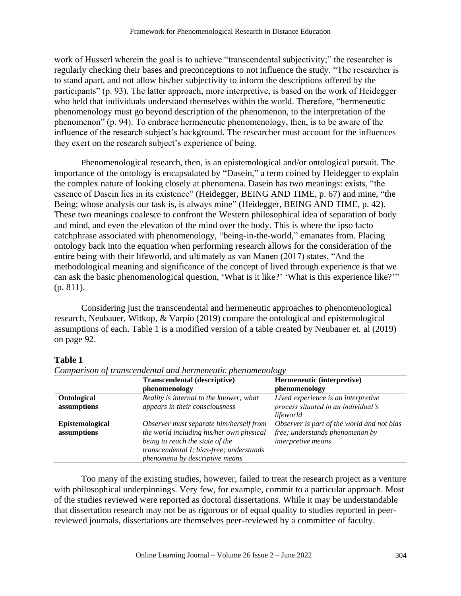work of Husserl wherein the goal is to achieve "transcendental subjectivity;" the researcher is regularly checking their bases and preconceptions to not influence the study. "The researcher is to stand apart, and not allow his/her subjectivity to inform the descriptions offered by the participants" (p. 93). The latter approach, more interpretive, is based on the work of Heidegger who held that individuals understand themselves within the world. Therefore, "hermeneutic phenomenology must go beyond description of the phenomenon, to the interpretation of the phenomenon" (p. 94). To embrace hermeneutic phenomenology, then, is to be aware of the influence of the research subject's background. The researcher must account for the influences they exert on the research subject's experience of being.

Phenomenological research, then, is an epistemological and/or ontological pursuit. The importance of the ontology is encapsulated by "Dasein," a term coined by Heidegger to explain the complex nature of looking closely at phenomena. Dasein has two meanings: exists, "the essence of Dasein lies in its existence" (Heidegger, BEING AND TIME, p. 67) and mine, "the Being; whose analysis our task is, is always mine" (Heidegger, BEING AND TIME, p. 42). These two meanings coalesce to confront the Western philosophical idea of separation of body and mind, and even the elevation of the mind over the body. This is where the ipso facto catchphrase associated with phenomenology, "being-in-the-world," emanates from. Placing ontology back into the equation when performing research allows for the consideration of the entire being with their lifeworld, and ultimately as van Manen (2017) states, "And the methodological meaning and significance of the concept of lived through experience is that we can ask the basic phenomenological question, 'What is it like?' 'What is this experience like?'" (p. 811).

Considering just the transcendental and hermeneutic approaches to phenomenological research, Neubauer, Witkop, & Varpio (2019) compare the ontological and epistemological assumptions of each. Table 1 is a modified version of a table created by Neubauer et. al (2019) on page 92.

### **Table 1**

|                                | <b>Transcendental (descriptive)</b><br>phenomenology                                                                                                                                                 | Hermeneutic (interpretive)<br>phenomenology                                                         |
|--------------------------------|------------------------------------------------------------------------------------------------------------------------------------------------------------------------------------------------------|-----------------------------------------------------------------------------------------------------|
| Ontological<br>assumptions     | Reality is internal to the knower; what<br>appears in their consciousness                                                                                                                            | Lived experience is an interpretive<br>process situated in an individual's<br>lifeworld             |
| Epistemological<br>assumptions | Observer must separate him/herself from<br>the world including his/her own physical<br>being to reach the state of the<br>transcendental I; bias-free; understands<br>phenomena by descriptive means | Observer is part of the world and not bias<br>free; understands phenomenon by<br>interpretive means |

*Comparison of transcendental and hermeneutic phenomenology*

Too many of the existing studies, however, failed to treat the research project as a venture with philosophical underpinnings. Very few, for example, commit to a particular approach. Most of the studies reviewed were reported as doctoral dissertations. While it may be understandable that dissertation research may not be as rigorous or of equal quality to studies reported in peerreviewed journals, dissertations are themselves peer-reviewed by a committee of faculty.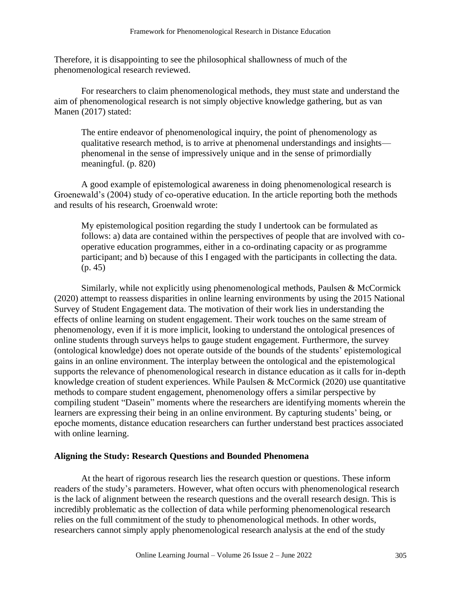Therefore, it is disappointing to see the philosophical shallowness of much of the phenomenological research reviewed.

For researchers to claim phenomenological methods, they must state and understand the aim of phenomenological research is not simply objective knowledge gathering, but as van Manen (2017) stated:

The entire endeavor of phenomenological inquiry, the point of phenomenology as qualitative research method, is to arrive at phenomenal understandings and insights phenomenal in the sense of impressively unique and in the sense of primordially meaningful. (p. 820)

A good example of epistemological awareness in doing phenomenological research is Groenewald's (2004) study of co-operative education. In the article reporting both the methods and results of his research, Groenwald wrote:

My epistemological position regarding the study I undertook can be formulated as follows: a) data are contained within the perspectives of people that are involved with cooperative education programmes, either in a co-ordinating capacity or as programme participant; and b) because of this I engaged with the participants in collecting the data. (p. 45)

Similarly, while not explicitly using phenomenological methods, Paulsen & McCormick (2020) attempt to reassess disparities in online learning environments by using the 2015 National Survey of Student Engagement data. The motivation of their work lies in understanding the effects of online learning on student engagement. Their work touches on the same stream of phenomenology, even if it is more implicit, looking to understand the ontological presences of online students through surveys helps to gauge student engagement. Furthermore, the survey (ontological knowledge) does not operate outside of the bounds of the students' epistemological gains in an online environment. The interplay between the ontological and the epistemological supports the relevance of phenomenological research in distance education as it calls for in-depth knowledge creation of student experiences. While Paulsen & McCormick (2020) use quantitative methods to compare student engagement, phenomenology offers a similar perspective by compiling student "Dasein" moments where the researchers are identifying moments wherein the learners are expressing their being in an online environment. By capturing students' being, or epoche moments, distance education researchers can further understand best practices associated with online learning.

### **Aligning the Study: Research Questions and Bounded Phenomena**

At the heart of rigorous research lies the research question or questions. These inform readers of the study's parameters. However, what often occurs with phenomenological research is the lack of alignment between the research questions and the overall research design. This is incredibly problematic as the collection of data while performing phenomenological research relies on the full commitment of the study to phenomenological methods. In other words, researchers cannot simply apply phenomenological research analysis at the end of the study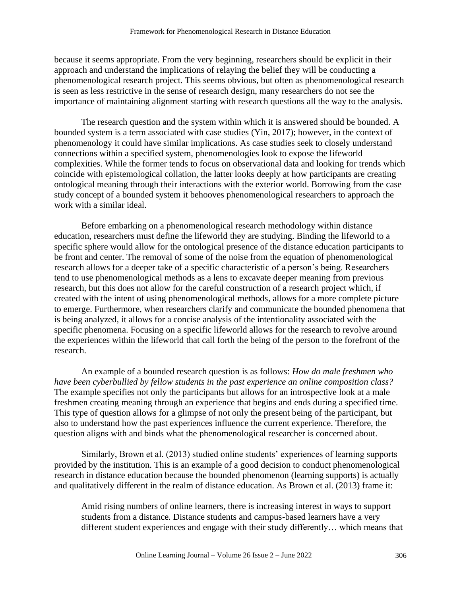because it seems appropriate. From the very beginning, researchers should be explicit in their approach and understand the implications of relaying the belief they will be conducting a phenomenological research project. This seems obvious, but often as phenomenological research is seen as less restrictive in the sense of research design, many researchers do not see the importance of maintaining alignment starting with research questions all the way to the analysis.

The research question and the system within which it is answered should be bounded. A bounded system is a term associated with case studies (Yin, 2017); however, in the context of phenomenology it could have similar implications. As case studies seek to closely understand connections within a specified system, phenomenologies look to expose the lifeworld complexities. While the former tends to focus on observational data and looking for trends which coincide with epistemological collation, the latter looks deeply at how participants are creating ontological meaning through their interactions with the exterior world. Borrowing from the case study concept of a bounded system it behooves phenomenological researchers to approach the work with a similar ideal.

Before embarking on a phenomenological research methodology within distance education, researchers must define the lifeworld they are studying. Binding the lifeworld to a specific sphere would allow for the ontological presence of the distance education participants to be front and center. The removal of some of the noise from the equation of phenomenological research allows for a deeper take of a specific characteristic of a person's being. Researchers tend to use phenomenological methods as a lens to excavate deeper meaning from previous research, but this does not allow for the careful construction of a research project which, if created with the intent of using phenomenological methods, allows for a more complete picture to emerge. Furthermore, when researchers clarify and communicate the bounded phenomena that is being analyzed, it allows for a concise analysis of the intentionality associated with the specific phenomena. Focusing on a specific lifeworld allows for the research to revolve around the experiences within the lifeworld that call forth the being of the person to the forefront of the research.

An example of a bounded research question is as follows: *How do male freshmen who have been cyberbullied by fellow students in the past experience an online composition class?*  The example specifies not only the participants but allows for an introspective look at a male freshmen creating meaning through an experience that begins and ends during a specified time. This type of question allows for a glimpse of not only the present being of the participant, but also to understand how the past experiences influence the current experience. Therefore, the question aligns with and binds what the phenomenological researcher is concerned about.

Similarly, Brown et al. (2013) studied online students' experiences of learning supports provided by the institution. This is an example of a good decision to conduct phenomenological research in distance education because the bounded phenomenon (learning supports) is actually and qualitatively different in the realm of distance education. As Brown et al. (2013) frame it:

Amid rising numbers of online learners, there is increasing interest in ways to support students from a distance. Distance students and campus-based learners have a very different student experiences and engage with their study differently… which means that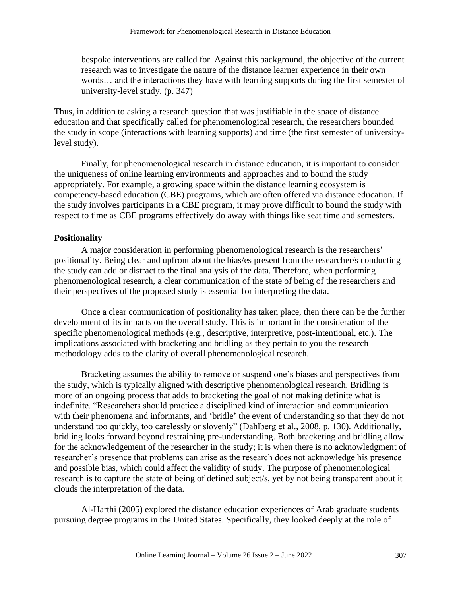bespoke interventions are called for. Against this background, the objective of the current research was to investigate the nature of the distance learner experience in their own words… and the interactions they have with learning supports during the first semester of university-level study. (p. 347)

Thus, in addition to asking a research question that was justifiable in the space of distance education and that specifically called for phenomenological research, the researchers bounded the study in scope (interactions with learning supports) and time (the first semester of universitylevel study).

Finally, for phenomenological research in distance education, it is important to consider the uniqueness of online learning environments and approaches and to bound the study appropriately. For example, a growing space within the distance learning ecosystem is competency-based education (CBE) programs, which are often offered via distance education. If the study involves participants in a CBE program, it may prove difficult to bound the study with respect to time as CBE programs effectively do away with things like seat time and semesters.

#### **Positionality**

A major consideration in performing phenomenological research is the researchers' positionality. Being clear and upfront about the bias/es present from the researcher/s conducting the study can add or distract to the final analysis of the data. Therefore, when performing phenomenological research, a clear communication of the state of being of the researchers and their perspectives of the proposed study is essential for interpreting the data.

Once a clear communication of positionality has taken place, then there can be the further development of its impacts on the overall study. This is important in the consideration of the specific phenomenological methods (e.g., descriptive, interpretive, post-intentional, etc.). The implications associated with bracketing and bridling as they pertain to you the research methodology adds to the clarity of overall phenomenological research.

Bracketing assumes the ability to remove or suspend one's biases and perspectives from the study, which is typically aligned with descriptive phenomenological research. Bridling is more of an ongoing process that adds to bracketing the goal of not making definite what is indefinite. "Researchers should practice a disciplined kind of interaction and communication with their phenomena and informants, and 'bridle' the event of understanding so that they do not understand too quickly, too carelessly or slovenly" (Dahlberg et al., 2008, p. 130). Additionally, bridling looks forward beyond restraining pre-understanding. Both bracketing and bridling allow for the acknowledgement of the researcher in the study; it is when there is no acknowledgment of researcher's presence that problems can arise as the research does not acknowledge his presence and possible bias, which could affect the validity of study. The purpose of phenomenological research is to capture the state of being of defined subject/s, yet by not being transparent about it clouds the interpretation of the data.

Al-Harthi (2005) explored the distance education experiences of Arab graduate students pursuing degree programs in the United States. Specifically, they looked deeply at the role of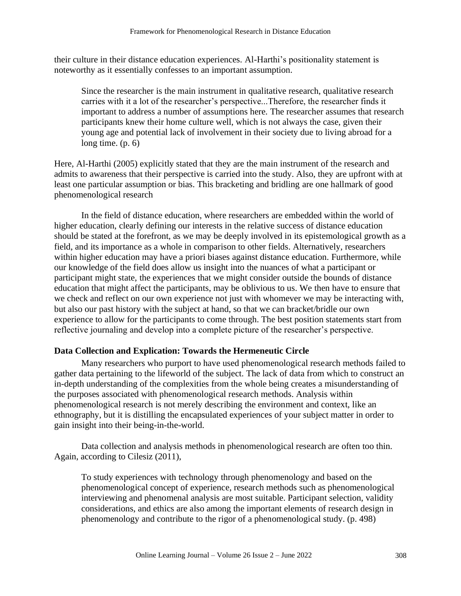their culture in their distance education experiences. Al-Harthi's positionality statement is noteworthy as it essentially confesses to an important assumption.

Since the researcher is the main instrument in qualitative research, qualitative research carries with it a lot of the researcher's perspective...Therefore, the researcher finds it important to address a number of assumptions here. The researcher assumes that research participants knew their home culture well, which is not always the case, given their young age and potential lack of involvement in their society due to living abroad for a long time.  $(p, 6)$ 

Here, Al-Harthi (2005) explicitly stated that they are the main instrument of the research and admits to awareness that their perspective is carried into the study. Also, they are upfront with at least one particular assumption or bias. This bracketing and bridling are one hallmark of good phenomenological research

In the field of distance education, where researchers are embedded within the world of higher education, clearly defining our interests in the relative success of distance education should be stated at the forefront, as we may be deeply involved in its epistemological growth as a field, and its importance as a whole in comparison to other fields. Alternatively, researchers within higher education may have a priori biases against distance education. Furthermore, while our knowledge of the field does allow us insight into the nuances of what a participant or participant might state, the experiences that we might consider outside the bounds of distance education that might affect the participants, may be oblivious to us. We then have to ensure that we check and reflect on our own experience not just with whomever we may be interacting with, but also our past history with the subject at hand, so that we can bracket/bridle our own experience to allow for the participants to come through. The best position statements start from reflective journaling and develop into a complete picture of the researcher's perspective.

### **Data Collection and Explication: Towards the Hermeneutic Circle**

Many researchers who purport to have used phenomenological research methods failed to gather data pertaining to the lifeworld of the subject. The lack of data from which to construct an in-depth understanding of the complexities from the whole being creates a misunderstanding of the purposes associated with phenomenological research methods. Analysis within phenomenological research is not merely describing the environment and context, like an ethnography, but it is distilling the encapsulated experiences of your subject matter in order to gain insight into their being-in-the-world.

Data collection and analysis methods in phenomenological research are often too thin. Again, according to Cilesiz (2011),

To study experiences with technology through phenomenology and based on the phenomenological concept of experience, research methods such as phenomenological interviewing and phenomenal analysis are most suitable. Participant selection, validity considerations, and ethics are also among the important elements of research design in phenomenology and contribute to the rigor of a phenomenological study. (p. 498)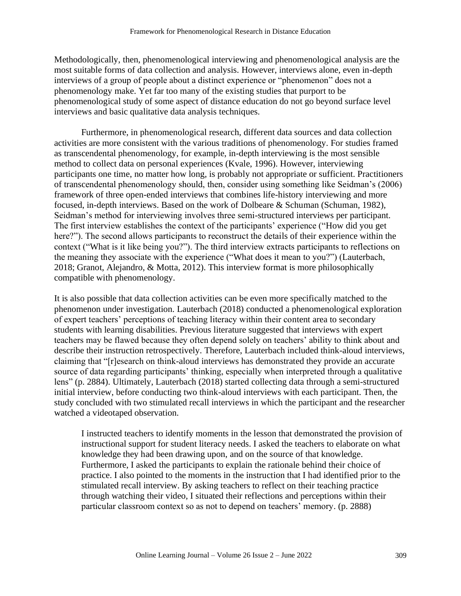Methodologically, then, phenomenological interviewing and phenomenological analysis are the most suitable forms of data collection and analysis. However, interviews alone, even in-depth interviews of a group of people about a distinct experience or "phenomenon" does not a phenomenology make. Yet far too many of the existing studies that purport to be phenomenological study of some aspect of distance education do not go beyond surface level interviews and basic qualitative data analysis techniques.

Furthermore, in phenomenological research, different data sources and data collection activities are more consistent with the various traditions of phenomenology. For studies framed as transcendental phenomenology, for example, in-depth interviewing is the most sensible method to collect data on personal experiences (Kvale, 1996). However, interviewing participants one time, no matter how long, is probably not appropriate or sufficient. Practitioners of transcendental phenomenology should, then, consider using something like Seidman's (2006) framework of three open-ended interviews that combines life-history interviewing and more focused, in-depth interviews. Based on the work of Dolbeare & Schuman (Schuman, 1982), Seidman's method for interviewing involves three semi-structured interviews per participant. The first interview establishes the context of the participants' experience ("How did you get here?"). The second allows participants to reconstruct the details of their experience within the context ("What is it like being you?"). The third interview extracts participants to reflections on the meaning they associate with the experience ("What does it mean to you?") (Lauterbach, 2018; Granot, Alejandro, & Motta, 2012). This interview format is more philosophically compatible with phenomenology.

It is also possible that data collection activities can be even more specifically matched to the phenomenon under investigation. Lauterbach (2018) conducted a phenomenological exploration of expert teachers' perceptions of teaching literacy within their content area to secondary students with learning disabilities. Previous literature suggested that interviews with expert teachers may be flawed because they often depend solely on teachers' ability to think about and describe their instruction retrospectively. Therefore, Lauterbach included think-aloud interviews, claiming that "[r]esearch on think-aloud interviews has demonstrated they provide an accurate source of data regarding participants' thinking, especially when interpreted through a qualitative lens" (p. 2884). Ultimately, Lauterbach (2018) started collecting data through a semi-structured initial interview, before conducting two think-aloud interviews with each participant. Then, the study concluded with two stimulated recall interviews in which the participant and the researcher watched a videotaped observation.

I instructed teachers to identify moments in the lesson that demonstrated the provision of instructional support for student literacy needs. I asked the teachers to elaborate on what knowledge they had been drawing upon, and on the source of that knowledge. Furthermore, I asked the participants to explain the rationale behind their choice of practice. I also pointed to the moments in the instruction that I had identified prior to the stimulated recall interview. By asking teachers to reflect on their teaching practice through watching their video, I situated their reflections and perceptions within their particular classroom context so as not to depend on teachers' memory. (p. 2888)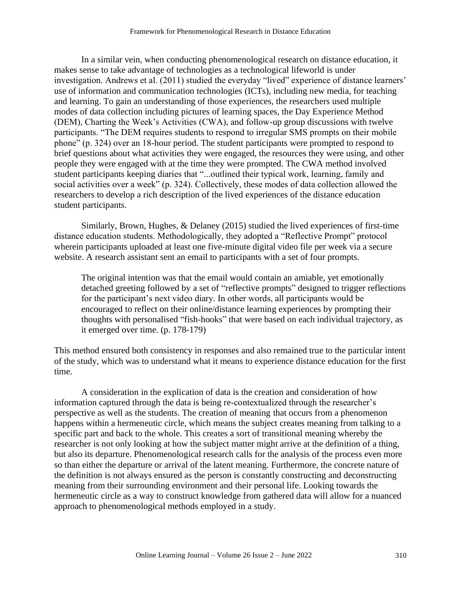In a similar vein, when conducting phenomenological research on distance education, it makes sense to take advantage of technologies as a technological lifeworld is under investigation. Andrews et al. (2011) studied the everyday "lived" experience of distance learners' use of information and communication technologies (ICTs), including new media, for teaching and learning. To gain an understanding of those experiences, the researchers used multiple modes of data collection including pictures of learning spaces, the Day Experience Method (DEM), Charting the Week's Activities (CWA), and follow-up group discussions with twelve participants. "The DEM requires students to respond to irregular SMS prompts on their mobile phone" (p. 324) over an 18-hour period. The student participants were prompted to respond to brief questions about what activities they were engaged, the resources they were using, and other people they were engaged with at the time they were prompted. The CWA method involved student participants keeping diaries that "...outlined their typical work, learning, family and social activities over a week" (p. 324). Collectively, these modes of data collection allowed the researchers to develop a rich description of the lived experiences of the distance education student participants.

Similarly, Brown, Hughes, & Delaney (2015) studied the lived experiences of first-time distance education students. Methodologically, they adopted a "Reflective Prompt" protocol wherein participants uploaded at least one five-minute digital video file per week via a secure website. A research assistant sent an email to participants with a set of four prompts.

The original intention was that the email would contain an amiable, yet emotionally detached greeting followed by a set of "reflective prompts" designed to trigger reflections for the participant's next video diary. In other words, all participants would be encouraged to reflect on their online/distance learning experiences by prompting their thoughts with personalised "fish-hooks" that were based on each individual trajectory, as it emerged over time. (p. 178-179)

This method ensured both consistency in responses and also remained true to the particular intent of the study, which was to understand what it means to experience distance education for the first time.

A consideration in the explication of data is the creation and consideration of how information captured through the data is being re-contextualized through the researcher's perspective as well as the students. The creation of meaning that occurs from a phenomenon happens within a hermeneutic circle, which means the subject creates meaning from talking to a specific part and back to the whole. This creates a sort of transitional meaning whereby the researcher is not only looking at how the subject matter might arrive at the definition of a thing, but also its departure. Phenomenological research calls for the analysis of the process even more so than either the departure or arrival of the latent meaning. Furthermore, the concrete nature of the definition is not always ensured as the person is constantly constructing and deconstructing meaning from their surrounding environment and their personal life. Looking towards the hermeneutic circle as a way to construct knowledge from gathered data will allow for a nuanced approach to phenomenological methods employed in a study.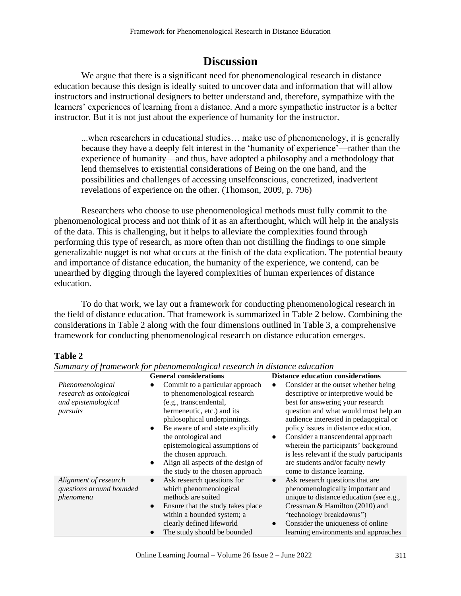# **Discussion**

We argue that there is a significant need for phenomenological research in distance education because this design is ideally suited to uncover data and information that will allow instructors and instructional designers to better understand and, therefore, sympathize with the learners' experiences of learning from a distance. And a more sympathetic instructor is a better instructor. But it is not just about the experience of humanity for the instructor.

...when researchers in educational studies… make use of phenomenology, it is generally because they have a deeply felt interest in the 'humanity of experience'—rather than the experience of humanity—and thus, have adopted a philosophy and a methodology that lend themselves to existential considerations of Being on the one hand, and the possibilities and challenges of accessing unselfconscious, concretized, inadvertent revelations of experience on the other. (Thomson, 2009, p. 796)

Researchers who choose to use phenomenological methods must fully commit to the phenomenological process and not think of it as an afterthought, which will help in the analysis of the data. This is challenging, but it helps to alleviate the complexities found through performing this type of research, as more often than not distilling the findings to one simple generalizable nugget is not what occurs at the finish of the data explication. The potential beauty and importance of distance education, the humanity of the experience, we contend, can be unearthed by digging through the layered complexities of human experiences of distance education.

To do that work, we lay out a framework for conducting phenomenological research in the field of distance education. That framework is summarized in Table 2 below. Combining the considerations in Table 2 along with the four dimensions outlined in Table 3, a comprehensive framework for conducting phenomenological research on distance education emerges.

## **Table 2**

|                          | <b>General considerations</b>                 | <b>Distance education considerations</b>        |  |  |  |
|--------------------------|-----------------------------------------------|-------------------------------------------------|--|--|--|
| Phenomenological         | Commit to a particular approach               | Consider at the outset whether being            |  |  |  |
| research as ontological  | to phenomenological research                  | descriptive or interpretive would be            |  |  |  |
| and epistemological      | (e.g., transcendental,                        | best for answering your research                |  |  |  |
| pursuits                 | hermeneutic, etc.) and its                    | question and what would most help an            |  |  |  |
|                          | philosophical underpinnings.                  | audience interested in pedagogical or           |  |  |  |
|                          | Be aware of and state explicitly<br>$\bullet$ | policy issues in distance education.            |  |  |  |
|                          | the ontological and                           | Consider a transcendental approach<br>$\bullet$ |  |  |  |
|                          | epistemological assumptions of                | wherein the participants' background            |  |  |  |
|                          | the chosen approach.                          | is less relevant if the study participants      |  |  |  |
|                          | Align all aspects of the design of            | are students and/or faculty newly               |  |  |  |
|                          | the study to the chosen approach              | come to distance learning.                      |  |  |  |
| Alignment of research    | Ask research questions for<br>$\bullet$       | Ask research questions that are<br>$\bullet$    |  |  |  |
| questions around bounded | which phenomenological                        | phenomenologically important and                |  |  |  |
| phenomena                | methods are suited                            | unique to distance education (see e.g.,         |  |  |  |
|                          | Ensure that the study takes place             | Cressman & Hamilton (2010) and                  |  |  |  |
|                          | within a bounded system; a                    | "technology breakdowns")                        |  |  |  |
|                          | clearly defined lifeworld                     | Consider the uniqueness of online               |  |  |  |
|                          | The study should be bounded                   | learning environments and approaches            |  |  |  |

*Summary of framework for phenomenological research in distance education*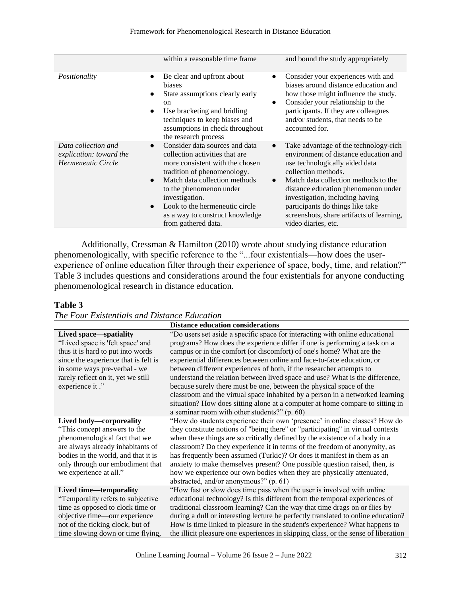|                                                                      | within a reasonable time frame                                                                                                                                                                                                                                                                                                                      |                        | and bound the study appropriately                                                                                                                                                                                                                                                                                                                                 |
|----------------------------------------------------------------------|-----------------------------------------------------------------------------------------------------------------------------------------------------------------------------------------------------------------------------------------------------------------------------------------------------------------------------------------------------|------------------------|-------------------------------------------------------------------------------------------------------------------------------------------------------------------------------------------------------------------------------------------------------------------------------------------------------------------------------------------------------------------|
| Positionality                                                        | Be clear and upfront about<br>$\bullet$<br>biases<br>State assumptions clearly early<br><sub>on</sub><br>Use bracketing and bridling<br>$\bullet$<br>techniques to keep biases and<br>assumptions in check throughout<br>the research process                                                                                                       | $\bullet$<br>$\bullet$ | Consider your experiences with and<br>biases around distance education and<br>how those might influence the study.<br>Consider your relationship to the<br>participants. If they are colleagues<br>and/or students, that needs to be<br>accounted for.                                                                                                            |
| Data collection and<br>explication: toward the<br>Hermeneutic Circle | Consider data sources and data<br>$\bullet$<br>collection activities that are<br>more consistent with the chosen<br>tradition of phenomenology.<br>Match data collection methods<br>$\bullet$<br>to the phenomenon under<br>investigation.<br>Look to the hermeneutic circle<br>$\bullet$<br>as a way to construct knowledge<br>from gathered data. | $\bullet$<br>$\bullet$ | Take advantage of the technology-rich<br>environment of distance education and<br>use technologically aided data<br>collection methods.<br>Match data collection methods to the<br>distance education phenomenon under<br>investigation, including having<br>participants do things like take<br>screenshots, share artifacts of learning,<br>video diaries, etc. |

Additionally, Cressman & Hamilton (2010) wrote about studying distance education phenomenologically, with specific reference to the "...four existentials—how does the userexperience of online education filter through their experience of space, body, time, and relation?" Table 3 includes questions and considerations around the four existentials for anyone conducting phenomenological research in distance education.

#### **Table 3**

#### *The Four Existentials and Distance Education*

| <b>Distance education considerations</b>                                                                                                                                                                                           |                                                                                                                                                                                                                                                                                                                                                                                                                                                                                                                                                                                                                                                                                                                                                              |  |  |  |
|------------------------------------------------------------------------------------------------------------------------------------------------------------------------------------------------------------------------------------|--------------------------------------------------------------------------------------------------------------------------------------------------------------------------------------------------------------------------------------------------------------------------------------------------------------------------------------------------------------------------------------------------------------------------------------------------------------------------------------------------------------------------------------------------------------------------------------------------------------------------------------------------------------------------------------------------------------------------------------------------------------|--|--|--|
| Lived space—spatiality<br>"Lived space is 'felt space' and<br>thus it is hard to put into words<br>since the experience that is felt is<br>in some ways pre-verbal - we<br>rarely reflect on it, yet we still<br>experience it."   | "Do users set aside a specific space for interacting with online educational<br>programs? How does the experience differ if one is performing a task on a<br>campus or in the comfort (or discomfort) of one's home? What are the<br>experiential differences between online and face-to-face education, or<br>between different experiences of both, if the researcher attempts to<br>understand the relation between lived space and use? What is the difference,<br>because surely there must be one, between the physical space of the<br>classroom and the virtual space inhabited by a person in a networked learning<br>situation? How does sitting alone at a computer at home compare to sitting in<br>a seminar room with other students?" (p. 60) |  |  |  |
| Lived body-corporeality<br>"This concept answers to the<br>phenomenological fact that we<br>are always already inhabitants of<br>bodies in the world, and that it is<br>only through our embodiment that<br>we experience at all." | "How do students experience their own 'presence' in online classes? How do<br>they constitute notions of "being there" or "participating" in virtual contexts<br>when these things are so critically defined by the existence of a body in a<br>classroom? Do they experience it in terms of the freedom of anonymity, as<br>has frequently been assumed (Turkic)? Or does it manifest in them as an<br>anxiety to make themselves present? One possible question raised, then, is<br>how we experience our own bodies when they are physically attenuated,<br>abstracted, and/or anonymous?" $(p. 61)$                                                                                                                                                      |  |  |  |
| Lived time-temporality<br>"Temporality refers to subjective<br>time as opposed to clock time or<br>objective time—our experience<br>not of the ticking clock, but of<br>time slowing down or time flying,                          | "How fast or slow does time pass when the user is involved with online<br>educational technology? Is this different from the temporal experiences of<br>traditional classroom learning? Can the way that time drags on or flies by<br>during a dull or interesting lecture be perfectly translated to online education?<br>How is time linked to pleasure in the student's experience? What happens to<br>the illicit pleasure one experiences in skipping class, or the sense of liberation                                                                                                                                                                                                                                                                 |  |  |  |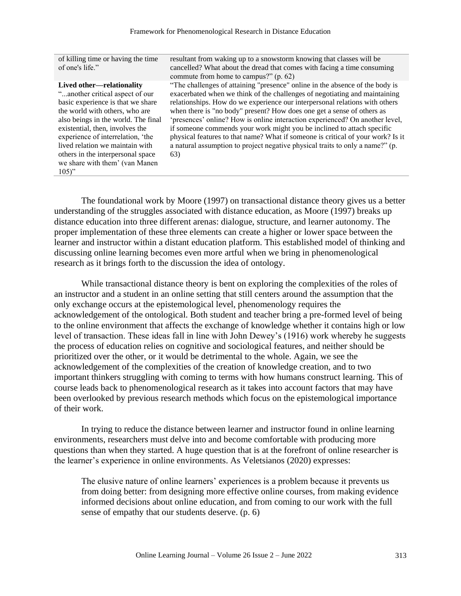of killing time or having the time of one's life."

#### **Lived other—relationality**

"...another critical aspect of our basic experience is that we share the world with others, who are also beings in the world. The final existential, then, involves the experience of interrelation, 'the lived relation we maintain with others in the interpersonal space we share with them' (van Manen  $105$ "

resultant from waking up to a snowstorm knowing that classes will be cancelled? What about the dread that comes with facing a time consuming commute from home to campus?" (p. 62)

"The challenges of attaining "presence" online in the absence of the body is exacerbated when we think of the challenges of negotiating and maintaining relationships. How do we experience our interpersonal relations with others when there is "no body" present? How does one get a sense of others as 'presences' online? How is online interaction experienced? On another level, if someone commends your work might you be inclined to attach specific physical features to that name? What if someone is critical of your work? Is it a natural assumption to project negative physical traits to only a name?" (p. 63)

The foundational work by Moore (1997) on transactional distance theory gives us a better understanding of the struggles associated with distance education, as Moore (1997) breaks up distance education into three different arenas: dialogue, structure, and learner autonomy. The proper implementation of these three elements can create a higher or lower space between the learner and instructor within a distant education platform. This established model of thinking and discussing online learning becomes even more artful when we bring in phenomenological research as it brings forth to the discussion the idea of ontology.

While transactional distance theory is bent on exploring the complexities of the roles of an instructor and a student in an online setting that still centers around the assumption that the only exchange occurs at the epistemological level, phenomenology requires the acknowledgement of the ontological. Both student and teacher bring a pre-formed level of being to the online environment that affects the exchange of knowledge whether it contains high or low level of transaction. These ideas fall in line with John Dewey's (1916) work whereby he suggests the process of education relies on cognitive and sociological features, and neither should be prioritized over the other, or it would be detrimental to the whole. Again, we see the acknowledgement of the complexities of the creation of knowledge creation, and to two important thinkers struggling with coming to terms with how humans construct learning. This of course leads back to phenomenological research as it takes into account factors that may have been overlooked by previous research methods which focus on the epistemological importance of their work.

In trying to reduce the distance between learner and instructor found in online learning environments, researchers must delve into and become comfortable with producing more questions than when they started. A huge question that is at the forefront of online researcher is the learner's experience in online environments. As Veletsianos (2020) expresses:

The elusive nature of online learners' experiences is a problem because it prevents us from doing better: from designing more effective online courses, from making evidence informed decisions about online education, and from coming to our work with the full sense of empathy that our students deserve. (p. 6)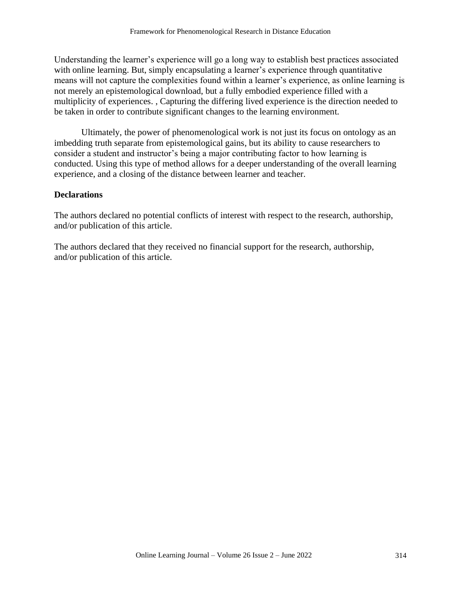Understanding the learner's experience will go a long way to establish best practices associated with online learning. But, simply encapsulating a learner's experience through quantitative means will not capture the complexities found within a learner's experience, as online learning is not merely an epistemological download, but a fully embodied experience filled with a multiplicity of experiences. , Capturing the differing lived experience is the direction needed to be taken in order to contribute significant changes to the learning environment.

Ultimately, the power of phenomenological work is not just its focus on ontology as an imbedding truth separate from epistemological gains, but its ability to cause researchers to consider a student and instructor's being a major contributing factor to how learning is conducted. Using this type of method allows for a deeper understanding of the overall learning experience, and a closing of the distance between learner and teacher.

### **Declarations**

The authors declared no potential conflicts of interest with respect to the research, authorship, and/or publication of this article.

The authors declared that they received no financial support for the research, authorship, and/or publication of this article.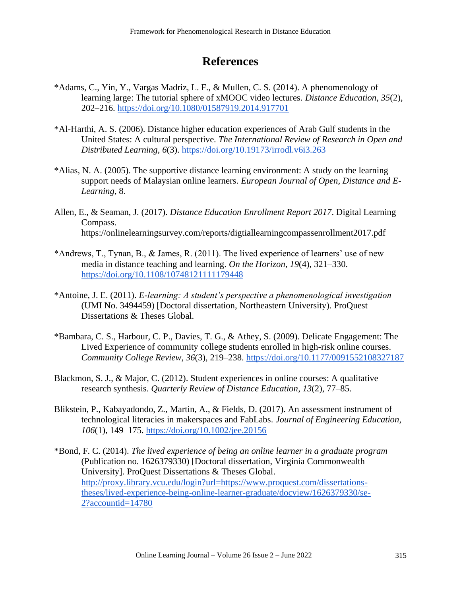# **Refe[ren](https://onlinelearningsurvey.com/reports/digtiallearningcompassenrollment2017.pdf)ces**

- \*Adams, C., Yin, Y., Vargas Madriz, L. F., & Mullen, C. S. (2014). A phenomenology of learning large: The tutorial sphere of xMOOC video lectures. *Distance Education*, *35*(2), 202–216[.](https://doi.org/10.1080/01587919.2014.917701) <https://doi.org/10.1080/01587919.2014.917701>
- \*Al-Harthi, A. S. (2006). Distance higher education experiences of Arab Gulf students in the United States: A cultural perspective. *The International Review of Research in Open and Distributed Learning*, *6*(3)[.](https://doi.org/10.19173/irrodl.v6i3.263) <https://doi.org/10.19173/irrodl.v6i3.263>
- \*Alias, N. A. (2005). The supportive distance learning environment: A study on the learning support needs of Malaysian online learners. *European Journal of Open, Distance and E-Learning*, 8.
- Allen, E., & Seaman, J. (2017). *Distance Education Enrollment Report 2017*. Digital Learning Compass[.](https://onlinelearningsurvey.com/reports/digtiallearningcompassenrollment2017.pdf) <https://onlinelearningsurvey.com/reports/digtiallearningcompassenrollment2017.pdf>
- \*Andrews, T., Tynan, B., & James, R. (2011). The lived experience of learners' use of new media in distance teaching and learning. *On the Horizon*, *19*(4), 321–330[.](https://doi.org/10.1108/10748121111179448) <https://doi.org/10.1108/10748121111179448>
- \*Antoine, J. E. (2011). *E-learning: A student's perspective a phenomenological investigation* (UMI No. 3494459) [Doctoral dissertation, Northeastern University). ProQuest Dissertations & Theses Global.
- \*Bambara, C. S., Harbour, C. P., Davies, T. G., & Athey, S. (2009). Delicate Engagement: The Lived Experience of community college students enrolled in high-risk online courses. *Community College Review*, *36*(3), 219–238. <https://doi.org/10.1177/0091552108327187>
- Blackmon, S. J., & Major, C. (2012). Student experiences in online courses: A qualitative research synthesis. *Quarterly Review of Distance Education*, *13*(2), 77–85.
- Blikstein, P., Kabayadondo, Z., Martin, A., & Fields, D. (2017). An assessment instrument of technological literacies in makerspaces and FabLabs. *Journal of Engineering Education*, *106*(1), 149–175[.](https://doi.org/10.1002/jee.20156) <https://doi.org/10.1002/jee.20156>
- \*Bond, F. C. (2014). *The lived experience of being an online learner in a graduate program*  (Publication no. 1626379330) [Doctoral dissertation, Virginia Commonwealth University]. ProQuest Dissertations & Theses Global. [http://proxy.library.vcu.edu/login?url=https://www.proquest.com/dissertations](http://proxy.library.vcu.edu/login?url=https://www.proquest.com/dissertations-theses/lived-experience-being-online-learner-graduate/docview/1626379330/se-2?accountid=14780)[theses/lived-experience-being-online-learner-graduate/docview/1626379330/se-](http://proxy.library.vcu.edu/login?url=https://www.proquest.com/dissertations-theses/lived-experience-being-online-learner-graduate/docview/1626379330/se-2?accountid=14780)[2?accountid=14780](http://proxy.library.vcu.edu/login?url=https://www.proquest.com/dissertations-theses/lived-experience-being-online-learner-graduate/docview/1626379330/se-2?accountid=14780)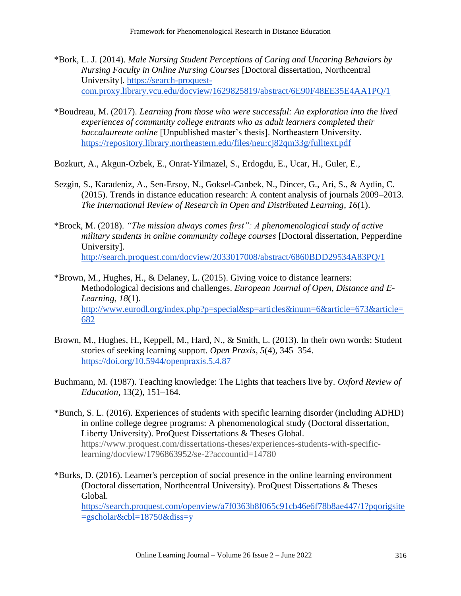- \*Bork, L. J. (2014). *Male Nursing Student Perceptions of Caring and Uncaring Behaviors by Nursing Faculty in Online Nursing Courses* [Doctoral dissertation, Northcentral University][.](https://search-proquest-com.proxy.library.vcu.edu/docview/1629825819/abstract/6E90F48EE35E4AA1PQ/1) [https://search-proquest](https://search-proquest-com.proxy.library.vcu.edu/docview/1629825819/abstract/6E90F48EE35E4AA1PQ/1)[com.proxy.library.vcu.edu/docview/1629825819/abstract/6E90F48EE35E4AA1PQ/1](https://search-proquest-com.proxy.library.vcu.edu/docview/1629825819/abstract/6E90F48EE35E4AA1PQ/1)
- \*Boudreau, M. (2017). *Learning from those who were successful: An exploration into the lived experiences of community college entrants who as adult learners completed their baccalaureate online* [Unpublished master's thesis]. Northeastern University. <https://repository.library.northeastern.edu/files/neu:cj82qm33g/fulltext.pdf>
- Bozkurt, A., Akgun-Ozbek, E., Onrat-Yilmazel, S., Erdogdu, E., Ucar, H., Guler, E.,
- Sezgin, S., Karadeniz, A., Sen-Ersoy, N., Goksel-Canbek, N., Dincer, G., Ari, S., & Aydin, C. (2015). Trends in distance education research: A content analysis of journals 2009–2013. *The International Review of Research in Open and Distributed Learning*, *16*(1).
- \*Brock, M. (2018). *"The mission always comes first": A phenomenological study of active military students in online community college courses* [Doctoral dissertation, Pepperdine University][.](http://search.proquest.com/docview/2033017008/abstract/6860BDD29534A83PQ/1) <http://search.proquest.com/docview/2033017008/abstract/6860BDD29534A83PQ/1>
- \*Brown, M., Hughes, H., & Delaney, L. (2015). Giving voice to distance learners: Methodological decisions and challenges. *European Journal of Open, Distance and E-Learning*, *18*(1)[.](http://www.eurodl.org/index.php?p=special&sp=articles&inum=6&article=673&article=682) [http://www.eurodl.org/index.php?p=special&sp=articles&inum=6&article=673&article=](http://www.eurodl.org/index.php?p=special&sp=articles&inum=6&article=673&article=682) [682](http://www.eurodl.org/index.php?p=special&sp=articles&inum=6&article=673&article=682)
- Brown, M., Hughes, H., Keppell, M., Hard, N., & Smith, L. (2013). In their own words: Student stories of seeking learning support. *Open Praxis*, *5*(4), 345–354[.](https://doi.org/10.5944/openpraxis.5.4.87) <https://doi.org/10.5944/openpraxis.5.4.87>
- Buchmann, M. (1987). Teaching knowledge: The Lights that teachers live by. *Oxford Review of Education*, 13(2), 151–164.
- \*Bunch, S. L. (2016). Experiences of students with specific learning disorder (including ADHD) in online college degree programs: A phenomenological study (Doctoral dissertation, Liberty University). ProQuest Dissertations & Theses Global. https://www.proquest.com/dissertations-theses/experiences-students-with-specificlearning/docview/1796863952/se-2?accountid=14780
- \*Burks, D. (2016). Learner's perception of social presence in the online learning environment (Doctoral dissertation, Northcentral University). ProQuest Dissertations & Theses Global.

[https://search.proquest.com/openview/a7f0363b8f065c91cb46e6f78b8ae447/1?pqorigsite](https://search.proquest.com/openview/a7f0363b8f065c91cb46e6f78b8ae447/1?pqorigsite=gscholar&cbl=18750&diss=y) [=gscholar&cbl=18750&diss=y](https://search.proquest.com/openview/a7f0363b8f065c91cb46e6f78b8ae447/1?pqorigsite=gscholar&cbl=18750&diss=y)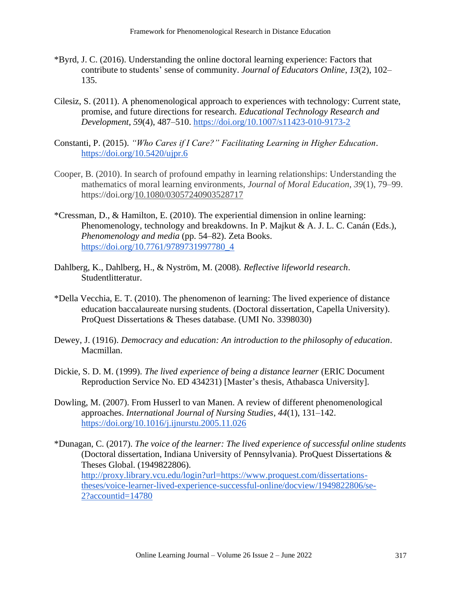- \*Byrd, J. C. (2016). Understanding the online doctoral learning experience: Factors that contribute to students' sense of community. *Journal of Educators Online*, *13*(2), 102– 135.
- Cilesiz, S. (2011). A phenomenological approach to experiences with technology: Current state, promise, and future directions for research. *Educational Technology Research and Development*, *59*(4), 487–510. <https://doi.org/10.1007/s11423-010-9173-2>
- Constanti, P. (2015). *"Who Cares if I Care?" Facilitating Learning in Higher Education*[.](https://doi.org/10.5420/ujpr.6) <https://doi.org/10.5420/ujpr.6>
- Cooper, B. (2010). In search of profound empathy in learning relationships: Understanding the mathematics of moral learning environments, *Journal of Moral Education*, *39*(1), 79–99. https://doi.org[/10.1080/03057240903528717](https://doi.org/10.1080/03057240903528717)
- \*Cressman, D., & Hamilton, E. (2010). The experiential dimension in online learning: Phenomenology, technology and breakdowns. In P. Majkut & A. J. L. C. Canán (Eds.), *Phenomenology and media* (pp. 54–82). Zeta Books[.](https://doi.org/10.7761/9789731997780_4) [https://doi.org/10.7761/9789731997780\\_4](https://doi.org/10.7761/9789731997780_4)
- Dahlberg, K., Dahlberg, H., & Nyström, M. (2008). *Reflective lifeworld research*. Studentlitteratur.
- \*Della Vecchia, E. T. (2010). The phenomenon of learning: The lived experience of distance education baccalaureate nursing students. (Doctoral dissertation, Capella University). ProQuest Dissertations & Theses database. (UMI No. 3398030)
- Dewey, J. (1916). *Democracy and education: An introduction to the philosophy of education*. Macmillan.
- Dickie, S. D. M. (1999). *The lived experience of being a distance learner* (ERIC Document Reproduction Service No. ED 434231) [Master's thesis, Athabasca University].
- Dowling, M. (2007). From Husserl to van Manen. A review of different phenomenological approaches. *International Journal of Nursing Studies*, *44*(1), 131–142[.](https://doi.org/10.1016/j.ijnurstu.2005.11.026) <https://doi.org/10.1016/j.ijnurstu.2005.11.026>
- \*Dunagan, C. (2017). *The voice of the learner: The lived experience of successful online students*  (Doctoral dissertation, Indiana University of Pennsylvania). ProQuest Dissertations & Theses Global. (1949822806). [http://proxy.library.vcu.edu/login?url=https://www.proquest.com/dissertations](http://proxy.library.vcu.edu/login?url=https://www.proquest.com/dissertations-theses/voice-learner-lived-experience-successful-online/docview/1949822806/se-2?accountid=14780)[theses/voice-learner-lived-experience-successful-online/docview/1949822806/se-](http://proxy.library.vcu.edu/login?url=https://www.proquest.com/dissertations-theses/voice-learner-lived-experience-successful-online/docview/1949822806/se-2?accountid=14780)[2?accountid=14780](http://proxy.library.vcu.edu/login?url=https://www.proquest.com/dissertations-theses/voice-learner-lived-experience-successful-online/docview/1949822806/se-2?accountid=14780)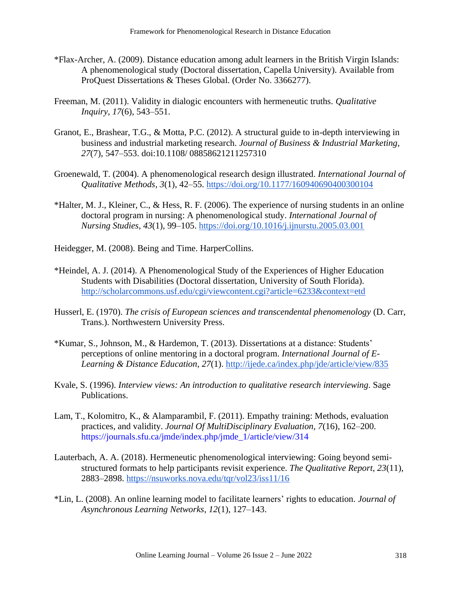- \*Flax-Archer, A. (2009). Distance education among adult learners in the British Virgin Islands: A phenomenological study (Doctoral dissertation, Capella University). Available from ProQuest Dissertations & Theses Global. (Order No. 3366277).
- Freeman, M. (2011). Validity in dialogic encounters with hermeneutic truths. *Qualitative Inquiry*, *17*(6), 543–551.
- Granot, E., Brashear, T.G., & Motta, P.C. (2012). A structural guide to in-depth interviewing in business and industrial marketing research. *Journal of Business & Industrial Marketing*, *27*(7), 547–553. doi:10.1108/ 08858621211257310
- Groenewald, T. (2004). A phenomenological research design illustrated. *International Journal of Qualitative Methods*, *3*(1), 42–55. <https://doi.org/10.1177/160940690400300104>
- \*Halter, M. J., Kleiner, C., & Hess, R. F. (2006). The experience of nursing students in an online doctoral program in nursing: A phenomenological study. *International Journal of Nursing Studies*, *43*(1), 99–105. <https://doi.org/10.1016/j.ijnurstu.2005.03.001>
- Heidegger, M. (2008). Being and Time. HarperCollins.
- \*Heindel, A. J. (2014). A Phenomenological Study of the Experiences of Higher Education Students with Disabilities (Doctoral dissertation, University of South Florida). <http://scholarcommons.usf.edu/cgi/viewcontent.cgi?article=6233&context=etd>
- Husserl, E. (1970). *The crisis of European sciences and transcendental phenomenology* (D. Carr, Trans.). Northwestern University Press.
- \*Kumar, S., Johnson, M., & Hardemon, T. (2013). Dissertations at a distance: Students' perceptions of online mentoring in a doctoral program. *International Journal of E-Learning & Distance Education*, *27*(1). <http://ijede.ca/index.php/jde/article/view/835>
- Kvale, S. (1996). *Interview views: An introduction to qualitative research interviewing*. Sage Publications.
- Lam, T., Kolomitro, K., & Alamparambil, F. (2011). Empathy training: Methods, evaluation practices, and validity. *Journal Of MultiDisciplinary Evaluation, 7*(16), 162–200. [https://journals.sfu.ca/jmde/index.php/jmde\\_1/article/view/314](https://journals.sfu.ca/jmde/index.php/jmde_1/article/view/314)
- Lauterbach, A. A. (2018). Hermeneutic phenomenological interviewing: Going beyond semistructured formats to help participants revisit experience. *The Qualitative Report*, *23*(11), 2883–2898.<https://nsuworks.nova.edu/tqr/vol23/iss11/16>
- \*Lin, L. (2008). An online learning model to facilitate learners' rights to education. *Journal of Asynchronous Learning Networks*, *12*(1), 127–143.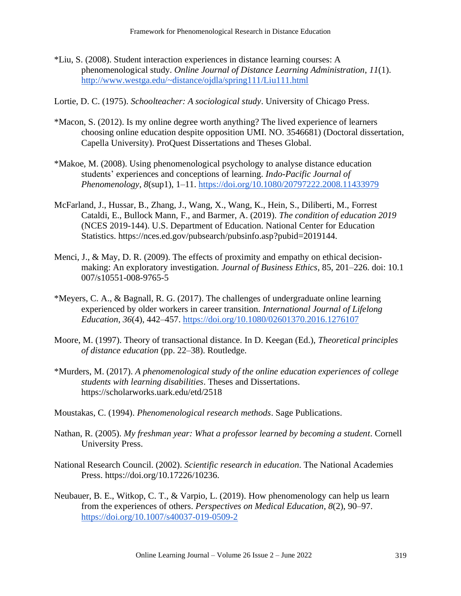- \*Liu, S. (2008). Student interaction experiences in distance learning courses: A phenomenological study. *Online Journal of Distance Learning Administration*, *11*(1)[.](http://www.westga.edu/~distance/ojdla/spring111/Liu111.html) <http://www.westga.edu/~distance/ojdla/spring111/Liu111.html>
- Lortie, D. C. (1975). *Schoolteacher: A sociological study*. University of Chicago Press.
- \*Macon, S. (2012). Is my online degree worth anything? The lived experience of learners choosing online education despite opposition UMI. NO. 3546681) (Doctoral dissertation, Capella University). ProQuest Dissertations and Theses Global.
- \*Makoe, M. (2008). Using phenomenological psychology to analyse distance education students' experiences and conceptions of learning. *Indo-Pacific Journal of Phenomenology*, *8*(sup1), 1–11. <https://doi.org/10.1080/20797222.2008.11433979>
- McFarland, J., Hussar, B., Zhang, J., Wang, X., Wang, K., Hein, S., Diliberti, M., Forrest Cataldi, E., Bullock Mann, F., and Barmer, A. (2019). *The condition of education 2019* (NCES 2019-144). U.S. Department of Education. National Center for Education Statistics. https://nces.ed.gov/pubsearch/pubsinfo.asp?pubid=2019144.
- Menci, J., & May, D. R. (2009). The effects of proximity and empathy on ethical decisionmaking: An exploratory investigation. *Journal of Business Ethics*, 85, 201–226. doi: 10.1 007/s10551-008-9765-5
- \*Meyers, C. A., & Bagnall, R. G. (2017). The challenges of undergraduate online learning experienced by older workers in career transition. *International Journal of Lifelong Education*, *36*(4), 442–457. <https://doi.org/10.1080/02601370.2016.1276107>
- Moore, M. (1997). Theory of transactional distance. In D. Keegan (Ed.), *Theoretical principles of distance education* (pp. 22–38). Routledge.
- \*Murders, M. (2017). *A phenomenological study of the online education experiences of college students with learning disabilities*. Theses and Dissertations. https://scholarworks.uark.edu/etd/2518
- Moustakas, C. (1994). *Phenomenological research methods*. Sage Publications.
- Nathan, R. (2005). *My freshman year: What a professor learned by becoming a student*. Cornell University Press.
- National Research Council. (2002). *Scientific research in education*. The National Academies Press. https://doi.org/10.17226/10236.
- Neubauer, B. E., Witkop, C. T., & Varpio, L. (2019). How phenomenology can help us learn from the experiences of others. *Perspectives on Medical Education*, *8*(2), 90–97[.](https://doi.org/10.1007/s40037-019-0509-2) <https://doi.org/10.1007/s40037-019-0509-2>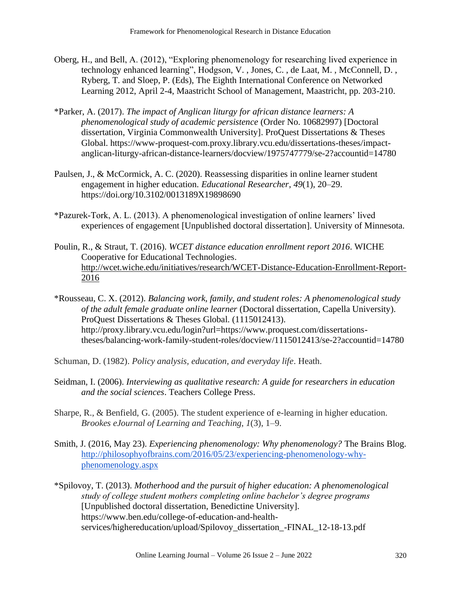- Oberg, H., and Bell, A. (2012), "Exploring phenomenology for researching lived experience in technology enhanced learning", Hodgson, V. , Jones, C. , de Laat, M. , McConnell, D. , Ryberg, T. and Sloep, P. (Eds), The Eighth International Conference on Networked Learning 2012, April 2-4, Maastricht School of Management, Maastricht, pp. 203-210.
- \*Parker, A. (2017). *The impact of Anglican liturgy for african distance learners: A phenomenological study of academic persistence* (Order No. 10682997) [Doctoral dissertation, Virginia Commonwealth University]. ProQuest Dissertations & Theses Global. [https://www-proquest-com.proxy.library.vcu.edu/dissertations-theses/impact](http://proxy.library.vcu.edu/login?url=https://www-proquest-com.proxy.library.vcu.edu/dissertations-theses/impact-anglican-liturgy-african-distance-learners/docview/1975747779/se-2?accountid=14780)[anglican-liturgy-african-distance-learners/docview/1975747779/se-2?accountid=14780](http://proxy.library.vcu.edu/login?url=https://www-proquest-com.proxy.library.vcu.edu/dissertations-theses/impact-anglican-liturgy-african-distance-learners/docview/1975747779/se-2?accountid=14780)
- Paulsen, J., & McCormick, A. C. (2020). Reassessing disparities in online learner student engagement in higher education. *Educational Researcher*, *49*(1), 20–29. https://doi.org/10.3102/0013189X19898690
- \*Pazurek-Tork, A. L. (2013). A phenomenological investigation of online learners' lived experiences of engagement [Unpublished doctoral dissertation]. University of Minnesota.
- Poulin, R., & Straut, T. (2016). *WCET distance education enrollment report 2016*. WICHE Cooperative for Educational Technologies. [http://wcet.wiche.edu/initiatives/research/WCET-Distance-Education-Enrollment-Report-](http://wcet.wiche.edu/initiatives/research/WCET-Distance-Education-Enrollment-Report-2016)[2016](http://wcet.wiche.edu/initiatives/research/WCET-Distance-Education-Enrollment-Report-2016)
- \*Rousseau, C. X. (2012). *Balancing work, family, and student roles: A phenomenological study of the adult female graduate online learner* (Doctoral dissertation, Capella University). ProQuest Dissertations & Theses Global. (1115012413). http://proxy.library.vcu.edu/login?url=https://www.proquest.com/dissertationstheses/balancing-work-family-student-roles/docview/1115012413/se-2?accountid=14780
- Schuman, D. (1982). *Policy analysis, education, and everyday life*. Heath.
- Seidman, I. (2006). *Interviewing as qualitative research: A guide for researchers in education and the social sciences*. Teachers College Press.
- Sharpe, R., & Benfield, G. (2005). The student experience of e-learning in higher education. *Brookes eJournal of Learning and Teaching*, *1*(3), 1–9.
- Smith, J. (2016, May 23). *Experiencing phenomenology: Why phenomenology?* The Brains Blog[.](http://philosophyofbrains.com/2016/05/23/experiencing-phenomenology-why-phenomenology.aspx) [http://philosophyofbrains.com/2016/05/23/experiencing-phenomenology-why](http://philosophyofbrains.com/2016/05/23/experiencing-phenomenology-why-phenomenology.aspx)[phenomenology.aspx](http://philosophyofbrains.com/2016/05/23/experiencing-phenomenology-why-phenomenology.aspx)
- \*Spilovoy, T. (2013). *Motherhood and the pursuit of higher education: A phenomenological study of college student mothers completing online bachelor's degree programs* [Unpublished doctoral dissertation, Benedictine University]. https://www.ben.edu/college-of-education-and-healthservices/highereducation/upload/Spilovoy\_dissertation\_-FINAL\_12-18-13.pdf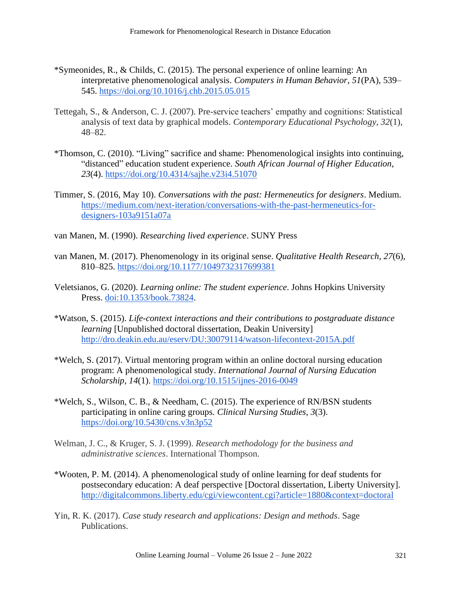- \*Symeonides, R., & Childs, C. (2015). The personal experience of online learning: An interpretative phenomenological analysis. *Computers in Human Behavior*, *51*(PA), 539– 545[.](https://doi.org/10.1016/j.chb.2015.05.015) <https://doi.org/10.1016/j.chb.2015.05.015>
- Tettegah, S., & Anderson, C. J. (2007). Pre-service teachers' empathy and cognitions: Statistical analysis of text data by graphical models. *Contemporary Educational Psychology*, *32*(1), 48–82.
- \*Thomson, C. (2010). "Living" sacrifice and shame: Phenomenological insights into continuing, "distanced" education student experience. *South African Journal of Higher Education*, *23*(4)[.](https://doi.org/10.4314/sajhe.v23i4.51070) <https://doi.org/10.4314/sajhe.v23i4.51070>
- Timmer, S. (2016, May 10). *Conversations with the past: Hermeneutics for designers*. Medium[.](https://medium.com/next-iteration/conversations-with-the-past-hermeneutics-for-designers-103a9151a07a) [https://medium.com/next-iteration/conversations-with-the-past-hermeneutics-for](https://medium.com/next-iteration/conversations-with-the-past-hermeneutics-for-designers-103a9151a07a)[designers-103a9151a07a](https://medium.com/next-iteration/conversations-with-the-past-hermeneutics-for-designers-103a9151a07a)
- van Manen, M. (1990). *Researching lived experience*. SUNY Press
- van Manen, M. (2017). Phenomenology in its original sense. *Qualitative Health Research*, *27*(6), 810–825[.](https://doi.org/10.1177/1049732317699381) <https://doi.org/10.1177/1049732317699381>
- Veletsianos, G. (2020). *Learning online: The student experience*. Johns Hopkins University Press. [doi:10.1353/book.73824.](http://doi.org/10.1353/book.73824)
- \*Watson, S. (2015). *Life-context interactions and their contributions to postgraduate distance learning* [Unpublished doctoral dissertation, Deakin University[\]](file:///C:/Users/jbecker/Downloads/) <http://dro.deakin.edu.au/eserv/DU:30079114/watson-lifecontext-2015A.pdf>
- \*Welch, S. (2017). Virtual mentoring program within an online doctoral nursing education program: A phenomenological study. *International Journal of Nursing Education Scholarship*, *14*(1). <https://doi.org/10.1515/ijnes-2016-0049>
- \*Welch, S., Wilson, C. B., & Needham, C. (2015). The experience of RN/BSN students participating in online caring groups. *Clinical Nursing Studies*, *3*(3)[.](https://doi.org/10.5430/cns.v3n3p52) <https://doi.org/10.5430/cns.v3n3p52>
- Welman, J. C., & Kruger, S. J. (1999). *Research methodology for the business and administrative sciences*. International Thompson.
- \*Wooten, P. M. (2014). A phenomenological study of online learning for deaf students for postsecondary education: A deaf perspective [Doctoral dissertation, Liberty University]. <http://digitalcommons.liberty.edu/cgi/viewcontent.cgi?article=1880&context=doctoral>
- Yin, R. K. (2017). *Case study research and applications: Design and methods*. Sage Publications.